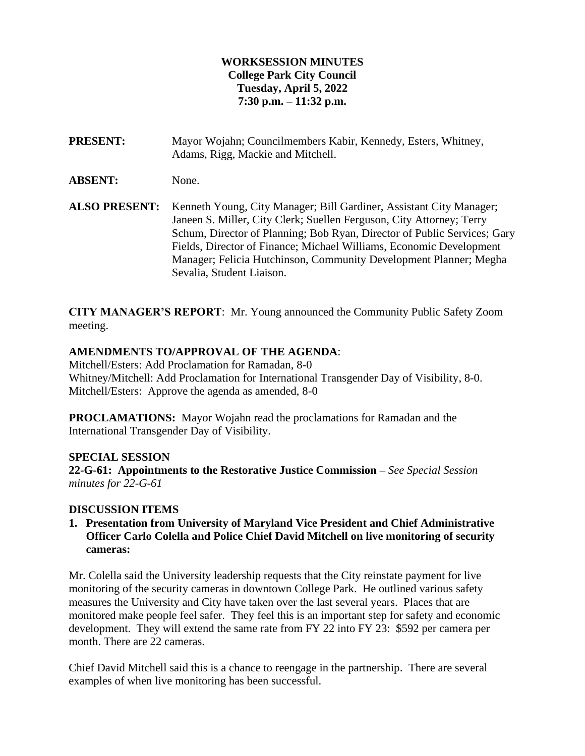### **WORKSESSION MINUTES College Park City Council Tuesday, April 5, 2022 7:30 p.m. – 11:32 p.m.**

**PRESENT:** Mayor Wojahn; Councilmembers Kabir, Kennedy, Esters, Whitney, Adams, Rigg, Mackie and Mitchell.

**ABSENT:** None.

**ALSO PRESENT:** Kenneth Young, City Manager; Bill Gardiner, Assistant City Manager; Janeen S. Miller, City Clerk; Suellen Ferguson, City Attorney; Terry Schum, Director of Planning; Bob Ryan, Director of Public Services; Gary Fields, Director of Finance; Michael Williams, Economic Development Manager; Felicia Hutchinson, Community Development Planner; Megha Sevalia, Student Liaison.

**CITY MANAGER'S REPORT**: Mr. Young announced the Community Public Safety Zoom meeting.

## **AMENDMENTS TO/APPROVAL OF THE AGENDA**:

Mitchell/Esters: Add Proclamation for Ramadan, 8-0 Whitney/Mitchell: Add Proclamation for International Transgender Day of Visibility, 8-0. Mitchell/Esters: Approve the agenda as amended, 8-0

**PROCLAMATIONS:** Mayor Wojahn read the proclamations for Ramadan and the International Transgender Day of Visibility.

## **SPECIAL SESSION**

**22-G-61: Appointments to the Restorative Justice Commission –** *See Special Session minutes for 22-G-61*

## **DISCUSSION ITEMS**

**1. Presentation from University of Maryland Vice President and Chief Administrative Officer Carlo Colella and Police Chief David Mitchell on live monitoring of security cameras:**

Mr. Colella said the University leadership requests that the City reinstate payment for live monitoring of the security cameras in downtown College Park. He outlined various safety measures the University and City have taken over the last several years. Places that are monitored make people feel safer. They feel this is an important step for safety and economic development. They will extend the same rate from FY 22 into FY 23: \$592 per camera per month. There are 22 cameras.

Chief David Mitchell said this is a chance to reengage in the partnership. There are several examples of when live monitoring has been successful.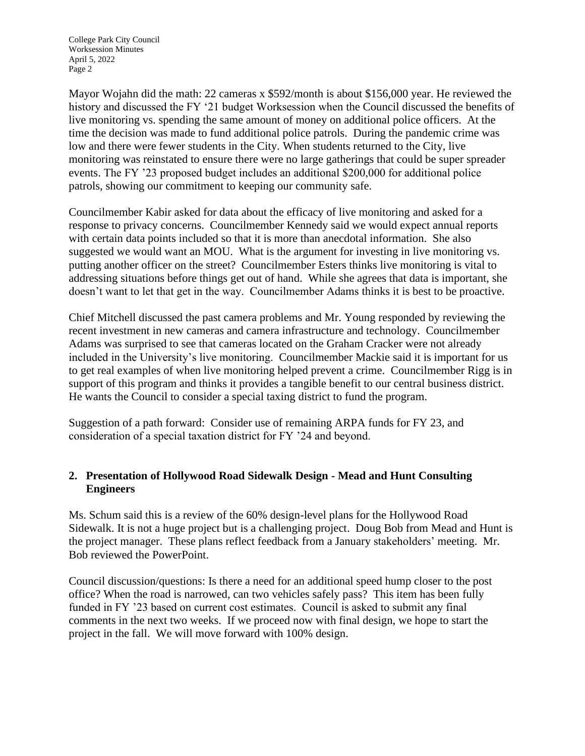College Park City Council Worksession Minutes April 5, 2022 Page 2

Mayor Wojahn did the math: 22 cameras x \$592/month is about \$156,000 year. He reviewed the history and discussed the FY '21 budget Worksession when the Council discussed the benefits of live monitoring vs. spending the same amount of money on additional police officers. At the time the decision was made to fund additional police patrols. During the pandemic crime was low and there were fewer students in the City. When students returned to the City, live monitoring was reinstated to ensure there were no large gatherings that could be super spreader events. The FY '23 proposed budget includes an additional \$200,000 for additional police patrols, showing our commitment to keeping our community safe.

Councilmember Kabir asked for data about the efficacy of live monitoring and asked for a response to privacy concerns. Councilmember Kennedy said we would expect annual reports with certain data points included so that it is more than anecdotal information. She also suggested we would want an MOU. What is the argument for investing in live monitoring vs. putting another officer on the street? Councilmember Esters thinks live monitoring is vital to addressing situations before things get out of hand. While she agrees that data is important, she doesn't want to let that get in the way. Councilmember Adams thinks it is best to be proactive.

Chief Mitchell discussed the past camera problems and Mr. Young responded by reviewing the recent investment in new cameras and camera infrastructure and technology. Councilmember Adams was surprised to see that cameras located on the Graham Cracker were not already included in the University's live monitoring. Councilmember Mackie said it is important for us to get real examples of when live monitoring helped prevent a crime. Councilmember Rigg is in support of this program and thinks it provides a tangible benefit to our central business district. He wants the Council to consider a special taxing district to fund the program.

Suggestion of a path forward: Consider use of remaining ARPA funds for FY 23, and consideration of a special taxation district for FY '24 and beyond.

## **2. Presentation of Hollywood Road Sidewalk Design - Mead and Hunt Consulting Engineers**

Ms. Schum said this is a review of the 60% design-level plans for the Hollywood Road Sidewalk. It is not a huge project but is a challenging project. Doug Bob from Mead and Hunt is the project manager. These plans reflect feedback from a January stakeholders' meeting. Mr. Bob reviewed the PowerPoint.

Council discussion/questions: Is there a need for an additional speed hump closer to the post office? When the road is narrowed, can two vehicles safely pass? This item has been fully funded in FY '23 based on current cost estimates. Council is asked to submit any final comments in the next two weeks. If we proceed now with final design, we hope to start the project in the fall. We will move forward with 100% design.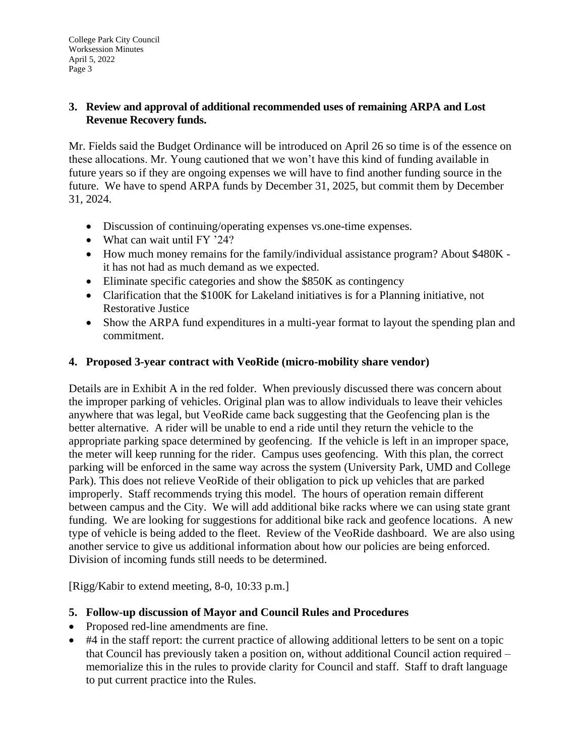## **3. Review and approval of additional recommended uses of remaining ARPA and Lost Revenue Recovery funds.**

Mr. Fields said the Budget Ordinance will be introduced on April 26 so time is of the essence on these allocations. Mr. Young cautioned that we won't have this kind of funding available in future years so if they are ongoing expenses we will have to find another funding source in the future. We have to spend ARPA funds by December 31, 2025, but commit them by December 31, 2024.

- Discussion of continuing/operating expenses vs.one-time expenses.
- What can wait until FY '24?
- How much money remains for the family/individual assistance program? About \$480K it has not had as much demand as we expected.
- Eliminate specific categories and show the \$850K as contingency
- Clarification that the \$100K for Lakeland initiatives is for a Planning initiative, not Restorative Justice
- Show the ARPA fund expenditures in a multi-year format to layout the spending plan and commitment.

## **4. Proposed 3-year contract with VeoRide (micro-mobility share vendor)**

Details are in Exhibit A in the red folder. When previously discussed there was concern about the improper parking of vehicles. Original plan was to allow individuals to leave their vehicles anywhere that was legal, but VeoRide came back suggesting that the Geofencing plan is the better alternative. A rider will be unable to end a ride until they return the vehicle to the appropriate parking space determined by geofencing. If the vehicle is left in an improper space, the meter will keep running for the rider. Campus uses geofencing. With this plan, the correct parking will be enforced in the same way across the system (University Park, UMD and College Park). This does not relieve VeoRide of their obligation to pick up vehicles that are parked improperly. Staff recommends trying this model. The hours of operation remain different between campus and the City. We will add additional bike racks where we can using state grant funding. We are looking for suggestions for additional bike rack and geofence locations. A new type of vehicle is being added to the fleet. Review of the VeoRide dashboard. We are also using another service to give us additional information about how our policies are being enforced. Division of incoming funds still needs to be determined.

[Rigg/Kabir to extend meeting, 8-0, 10:33 p.m.]

- **5. Follow-up discussion of Mayor and Council Rules and Procedures**
- Proposed red-line amendments are fine.
- #4 in the staff report: the current practice of allowing additional letters to be sent on a topic that Council has previously taken a position on, without additional Council action required – memorialize this in the rules to provide clarity for Council and staff. Staff to draft language to put current practice into the Rules.